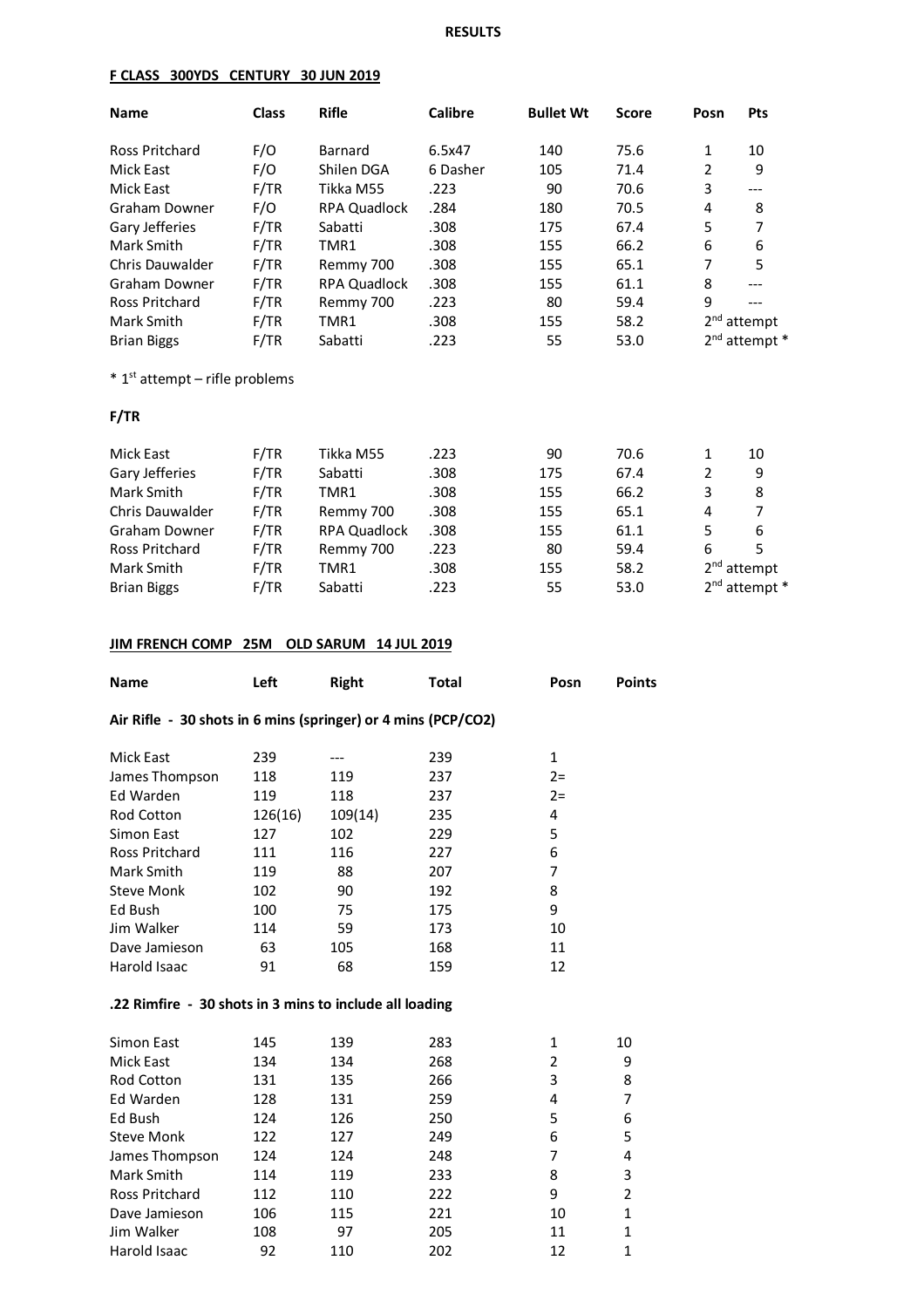## **RESULTS**

#### **F CLASS 300YDS CENTURY 30 JUN 2019**

| <b>Name</b>           | <b>Class</b> | <b>Rifle</b>        | <b>Calibre</b> | <b>Bullet Wt</b> | <b>Score</b> | Posn           | <b>Pts</b>        |
|-----------------------|--------------|---------------------|----------------|------------------|--------------|----------------|-------------------|
| <b>Ross Pritchard</b> | F/O          | <b>Barnard</b>      | 6.5x47         | 140              | 75.6         | 1              | 10                |
| <b>Mick East</b>      | F/O          | Shilen DGA          | 6 Dasher       | 105              | 71.4         | $\overline{2}$ | 9                 |
| Mick East             | F/TR         | Tikka M55           | .223           | 90               | 70.6         | 3              | $---$             |
| Graham Downer         | F/O          | <b>RPA Quadlock</b> | .284           | 180              | 70.5         | 4              | 8                 |
| Gary Jefferies        | F/TR         | Sabatti             | .308           | 175              | 67.4         | 5              | 7                 |
| Mark Smith            | F/TR         | TMR1                | .308           | 155              | 66.2         | 6              | 6                 |
| Chris Dauwalder       | F/TR         | Remmy 700           | .308           | 155              | 65.1         | 7              | 5                 |
| Graham Downer         | F/TR         | <b>RPA Quadlock</b> | .308           | 155              | 61.1         | 8              |                   |
| <b>Ross Pritchard</b> | F/TR         | Remmy 700           | .223           | 80               | 59.4         | 9              |                   |
| Mark Smith            | F/TR         | TMR1                | .308           | 155              | 58.2         |                | $2nd$ attempt     |
| <b>Brian Biggs</b>    | F/TR         | Sabatti             | .223           | 55               | 53.0         |                | $2nd$ attempt $*$ |

 $*$  1<sup>st</sup> attempt – rifle problems

#### **F/TR**

| Mick East              | F/TR | Tikka M55           | .223 | 90  | 70.6 |   | 10                |
|------------------------|------|---------------------|------|-----|------|---|-------------------|
| Gary Jefferies         | F/TR | Sabatti             | .308 | 175 | 67.4 | 2 | 9                 |
| Mark Smith             | F/TR | TMR1                | .308 | 155 | 66.2 | 3 | 8                 |
| <b>Chris Dauwalder</b> | F/TR | Remmy 700           | .308 | 155 | 65.1 | 4 | 7                 |
| Graham Downer          | F/TR | <b>RPA Quadlock</b> | .308 | 155 | 61.1 | 5 | 6                 |
| Ross Pritchard         | F/TR | Remmy 700           | .223 | 80  | 59.4 | 6 | 5                 |
| Mark Smith             | F/TR | TMR1                | .308 | 155 | 58.2 |   | $2nd$ attempt     |
| <b>Brian Biggs</b>     | F/TR | Sabatti             | .223 | 55  | 53.0 |   | $2nd$ attempt $*$ |

# **JIM FRENCH COMP 25M OLD SARUM 14 JUL 2019**

| <b>Name</b>                                                   | Left    | <b>Right</b> | <b>Total</b> | Posn           | <b>Points</b>  |
|---------------------------------------------------------------|---------|--------------|--------------|----------------|----------------|
| Air Rifle - 30 shots in 6 mins (springer) or 4 mins (PCP/CO2) |         |              |              |                |                |
| <b>Mick East</b>                                              | 239     |              | 239          | $\mathbf{1}$   |                |
| James Thompson                                                | 118     | 119          | 237          | $2 =$          |                |
| Ed Warden                                                     | 119     | 118          | 237          | $2 =$          |                |
| <b>Rod Cotton</b>                                             | 126(16) | 109(14)      | 235          | 4              |                |
| Simon East                                                    | 127     | 102          | 229          | 5              |                |
| <b>Ross Pritchard</b>                                         | 111     | 116          | 227          | 6              |                |
| Mark Smith                                                    | 119     | 88           | 207          | 7              |                |
| <b>Steve Monk</b>                                             | 102     | 90           | 192          | 8              |                |
| Ed Bush                                                       | 100     | 75           | 175          | 9              |                |
| Jim Walker                                                    | 114     | 59           | 173          | 10             |                |
| Dave Jamieson                                                 | 63      | 105          | 168          | 11             |                |
| Harold Isaac                                                  | 91      | 68           | 159          | 12             |                |
| .22 Rimfire - 30 shots in 3 mins to include all loading       |         |              |              |                |                |
| Simon East                                                    | 145     | 139          | 283          | 1              | 10             |
| <b>Mick East</b>                                              | 134     | 134          | 268          | $\overline{2}$ | 9              |
| <b>Rod Cotton</b>                                             | 131     | 135          | 266          | 3              | 8              |
| Ed Warden                                                     | 128     | 131          | 259          | 4              | 7              |
| Ed Bush                                                       | 124     | 126          | 250          | 5              | 6              |
| <b>Steve Monk</b>                                             | 122     | 127          | 249          | 6              | 5              |
| James Thompson                                                | 124     | 124          | 248          | 7              | 4              |
| Mark Smith                                                    | 114     | 119          | 233          | 8              | 3              |
| <b>Ross Pritchard</b>                                         | 112     | 110          | 222          | 9              | $\overline{2}$ |
| Dave Jamieson                                                 | 106     | 115          | 221          | 10             | $\mathbf{1}$   |
| Jim Walker                                                    | 108     | 97           | 205          | 11             | $\mathbf{1}$   |
| <b>Harold Isaac</b>                                           | 92      | 110          | 202          | 12             | $\mathbf{1}$   |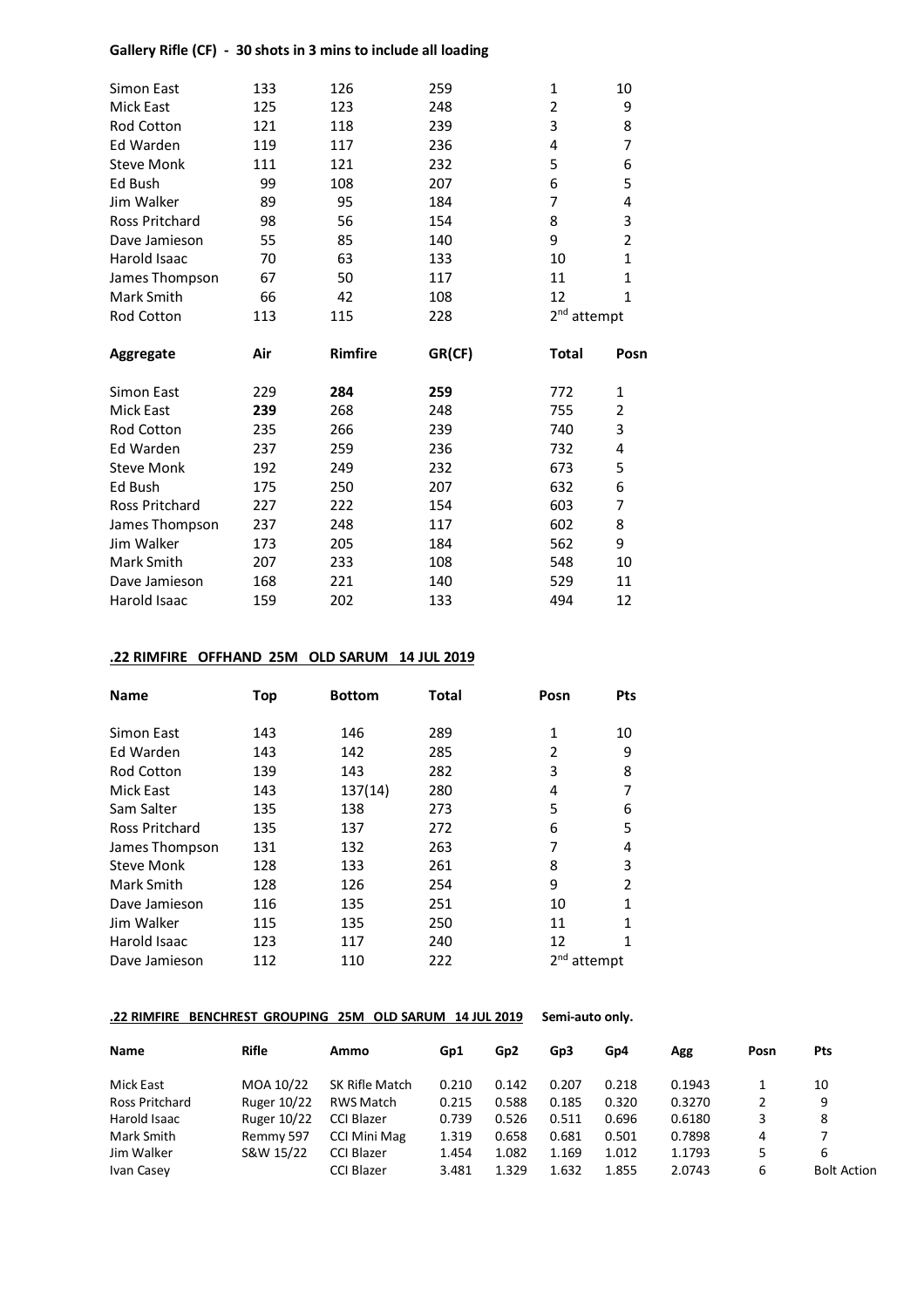## **Gallery Rifle (CF) - 30 shots in 3 mins to include all loading**

| Simon East            | 133 | 126     | 259    | 1                       | 10             |
|-----------------------|-----|---------|--------|-------------------------|----------------|
| <b>Mick East</b>      | 125 | 123     | 248    | 2                       | 9              |
| <b>Rod Cotton</b>     | 121 | 118     | 239    | 3                       | 8              |
| Ed Warden             | 119 | 117     | 236    | 4                       | $\overline{7}$ |
| <b>Steve Monk</b>     | 111 | 121     | 232    | 5                       | 6              |
| Ed Bush               | 99  | 108     | 207    | 6                       | 5              |
| Jim Walker            | 89  | 95      | 184    | 7                       | 4              |
| <b>Ross Pritchard</b> | 98  | 56      | 154    | 8                       | 3              |
| Dave Jamieson         | 55  | 85      | 140    | 9                       | $\overline{2}$ |
| Harold Isaac          | 70  | 63      | 133    | 10                      | $\mathbf{1}$   |
| James Thompson        | 67  | 50      | 117    | 11                      | $\mathbf 1$    |
| Mark Smith            | 66  | 42      | 108    | 12                      | $\mathbf{1}$   |
| Rod Cotton            | 113 | 115     | 228    | 2 <sup>nd</sup> attempt |                |
| Aggregate             | Air | Rimfire | GR(CF) | <b>Total</b>            | Posn           |
| Simon East            | 229 | 284     | 259    | 772                     | 1              |
| <b>Mick East</b>      | 239 | 268     | 248    | 755                     | $\overline{2}$ |
| <b>Rod Cotton</b>     | 235 | 266     | 239    | 740                     | 3              |
| Ed Warden             | 237 | 259     | 236    | 732                     | 4              |
| <b>Steve Monk</b>     | 192 | 249     | 232    | 673                     | 5              |
| Ed Bush               | 175 | 250     | 207    | 632                     | 6              |
| <b>Ross Pritchard</b> | 227 | 222     | 154    | 603                     | $\overline{7}$ |
| James Thompson        | 237 | 248     | 117    | 602                     | 8              |
| Jim Walker            | 173 | 205     | 184    | 562                     | 9              |
| Mark Smith            | 207 | 233     | 108    | 548                     | 10             |
| Dave Jamieson         | 168 | 221     | 140    | 529                     | 11             |
| Harold Isaac          |     | 202     | 133    | 494                     | 12             |

## **.22 RIMFIRE OFFHAND 25M OLD SARUM 14 JUL 2019**

| <b>Name</b>       | Top | <b>Bottom</b> | <b>Total</b> | Posn    | <b>Pts</b> |
|-------------------|-----|---------------|--------------|---------|------------|
| Simon East        | 143 | 146           | 289          | 1       | 10         |
| Ed Warden         | 143 | 142           | 285          | 2       | 9          |
| <b>Rod Cotton</b> | 139 | 143           | 282          | 3       | 8          |
| Mick East         | 143 | 137(14)       | 280          | 4       | 7          |
| Sam Salter        | 135 | 138           | 273          | 5       | 6          |
| Ross Pritchard    | 135 | 137           | 272          | 6       | 5          |
| James Thompson    | 131 | 132           | 263          | 7       | 4          |
| <b>Steve Monk</b> | 128 | 133           | 261          | 8       | 3          |
| Mark Smith        | 128 | 126           | 254          | 9       | 2          |
| Dave Jamieson     | 116 | 135           | 251          | 10      | 1          |
| Jim Walker        | 115 | 135           | 250          | 11      | 1          |
| Harold Isaac      | 123 | 117           | 240          | 12      |            |
| Dave Jamieson     | 112 | 110           | 222          | attempt |            |

## **.22 RIMFIRE BENCHREST GROUPING 25M OLD SARUM 14 JUL 2019 Semi-auto only.**

| <b>Name</b>    | <b>Rifle</b> | Ammo              | Gp1   | Gp2   | Gp3   | Gp4   | Agg    | Posn | <b>Pts</b>         |
|----------------|--------------|-------------------|-------|-------|-------|-------|--------|------|--------------------|
| Mick East      | MOA 10/22    | SK Rifle Match    | 0.210 | 0.142 | 0.207 | 0.218 | 0.1943 |      | 10                 |
| Ross Pritchard | Ruger 10/22  | RWS Match         | 0.215 | 0.588 | 0.185 | 0.320 | 0.3270 | 2    | 9                  |
| Harold Isaac   | Ruger 10/22  | CCI Blazer        | 0.739 | 0.526 | 0.511 | 0.696 | 0.6180 | 3    | 8                  |
| Mark Smith     | Remmy 597    | CCI Mini Mag      | 1.319 | 0.658 | 0.681 | 0.501 | 0.7898 | 4    |                    |
| Jim Walker     | S&W 15/22    | <b>CCI Blazer</b> | 1.454 | 1.082 | 1.169 | 1.012 | 1.1793 | 5    | 6                  |
| Ivan Casey     |              | CCI Blazer        | 3.481 | 1.329 | 1.632 | 1.855 | 2.0743 | 6    | <b>Bolt Action</b> |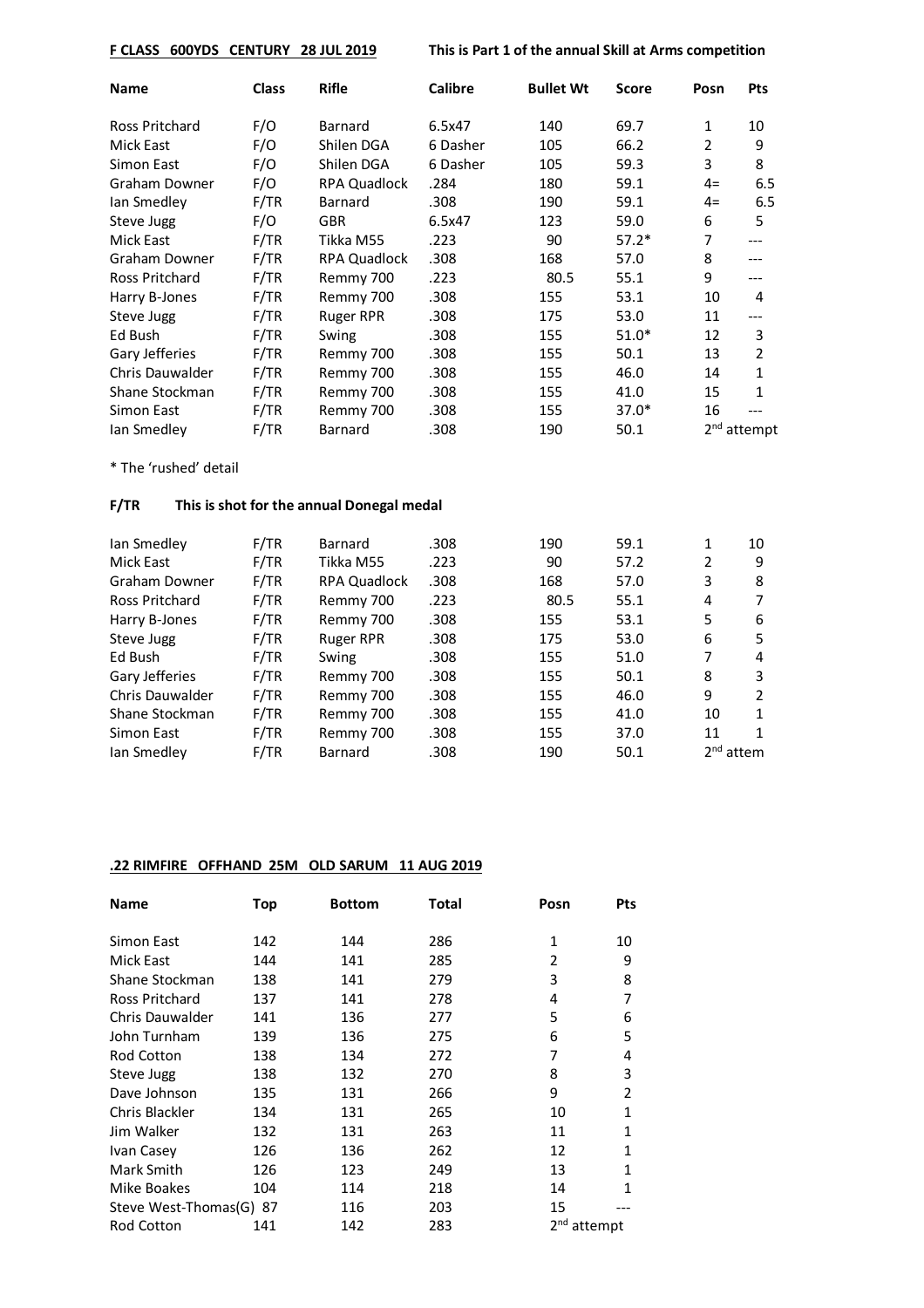**F CLASS 600YDS CENTURY 28 JUL 2019 This is Part 1 of the annual Skill at Arms competition**

| <b>Name</b>           | <b>Class</b> | <b>Rifle</b>        | <b>Calibre</b> | <b>Bullet Wt</b> | <b>Score</b> | Posn | Pts           |
|-----------------------|--------------|---------------------|----------------|------------------|--------------|------|---------------|
| <b>Ross Pritchard</b> | F/O          | Barnard             | 6.5x47         | 140              | 69.7         | 1    | 10            |
| Mick East             | F/O          | Shilen DGA          | 6 Dasher       | 105              | 66.2         | 2    | 9             |
| Simon East            | F/O          | Shilen DGA          | 6 Dasher       | 105              | 59.3         | 3    | 8             |
| Graham Downer         | F/O          | <b>RPA Quadlock</b> | .284           | 180              | 59.1         | $4=$ | 6.5           |
| lan Smedley           | F/TR         | <b>Barnard</b>      | .308           | 190              | 59.1         | $4=$ | 6.5           |
| Steve Jugg            | F/O          | GBR.                | 6.5x47         | 123              | 59.0         | 6    | 5             |
| Mick East             | F/TR         | Tikka M55           | .223           | 90               | $57.2*$      | 7    | ---           |
| Graham Downer         | F/TR         | <b>RPA Quadlock</b> | .308           | 168              | 57.0         | 8    | ---           |
| Ross Pritchard        | F/TR         | Remmy 700           | .223           | 80.5             | 55.1         | 9    | ---           |
| Harry B-Jones         | F/TR         | Remmy 700           | .308           | 155              | 53.1         | 10   | 4             |
| Steve Jugg            | F/TR         | <b>Ruger RPR</b>    | .308           | 175              | 53.0         | 11   | ---           |
| Ed Bush               | F/TR         | Swing               | .308           | 155              | $51.0*$      | 12   | 3             |
| Gary Jefferies        | F/TR         | Remmy 700           | .308           | 155              | 50.1         | 13   | 2             |
| Chris Dauwalder       | F/TR         | Remmy 700           | .308           | 155              | 46.0         | 14   | $\mathbf{1}$  |
| Shane Stockman        | F/TR         | Remmy 700           | .308           | 155              | 41.0         | 15   | $\mathbf{1}$  |
| Simon East            | F/TR         | Remmy 700           | .308           | 155              | $37.0*$      | 16   |               |
| lan Smedley           | F/TR         | Barnard             | .308           | 190              | 50.1         |      | $2nd$ attempt |

\* The 'rushed' detail

## **F/TR This is shot for the annual Donegal medal**

|      |                     |         |      |      |             | 10 |
|------|---------------------|---------|------|------|-------------|----|
| F/TR | Tikka M55           | .223    | 90   | 57.2 | 2           | 9  |
| F/TR | <b>RPA Quadlock</b> | .308    | 168  | 57.0 | 3           | 8  |
| F/TR | Remmy 700           | .223    | 80.5 | 55.1 | 4           |    |
| F/TR | Remmy 700           | .308    | 155  | 53.1 | 5           | 6  |
| F/TR | <b>Ruger RPR</b>    | .308    | 175  | 53.0 | 6           | 5. |
| F/TR | Swing               | .308    | 155  | 51.0 | 7           | 4  |
| F/TR | Remmy 700           | .308    | 155  | 50.1 | 8           | 3  |
| F/TR | Remmy 700           | .308    | 155  | 46.0 | 9           | 2  |
| F/TR | Remmy 700           | .308    | 155  | 41.0 | 10          | 1  |
| F/TR | Remmy 700           | .308    | 155  | 37.0 | 11          | 1  |
| F/TR | <b>Barnard</b>      | .308    | 190  | 50.1 | $2nd$ attem |    |
|      | F/TR                | Barnard | .308 | 190  | 59.1        | 1  |

### **.22 RIMFIRE OFFHAND 25M OLD SARUM 11 AUG 2019**

| <b>Name</b>             | Top | <b>Bottom</b> | Total | Posn                    | <b>Pts</b>   |
|-------------------------|-----|---------------|-------|-------------------------|--------------|
| Simon East              | 142 | 144           | 286   | 1                       | 10           |
| Mick East               | 144 | 141           | 285   | 2                       | 9            |
| Shane Stockman          | 138 | 141           | 279   | 3                       | 8            |
| <b>Ross Pritchard</b>   | 137 | 141           | 278   | 4                       | 7            |
| Chris Dauwalder         | 141 | 136           | 277   | 5                       | 6            |
| John Turnham            | 139 | 136           | 275   | 6                       | 5            |
| Rod Cotton              | 138 | 134           | 272   | 7                       | 4            |
| Steve Jugg              | 138 | 132           | 270   | 8                       | 3            |
| Dave Johnson            | 135 | 131           | 266   | 9                       | 2            |
| Chris Blackler          | 134 | 131           | 265   | 10                      | $\mathbf{1}$ |
| Jim Walker              | 132 | 131           | 263   | 11                      | 1            |
| Ivan Casey              | 126 | 136           | 262   | 12                      | 1            |
| Mark Smith              | 126 | 123           | 249   | 13                      | 1            |
| Mike Boakes             | 104 | 114           | 218   | 14                      | 1            |
| Steve West-Thomas(G) 87 |     | 116           | 203   | 15                      |              |
| <b>Rod Cotton</b>       | 141 | 142           | 283   | 2 <sup>nd</sup> attempt |              |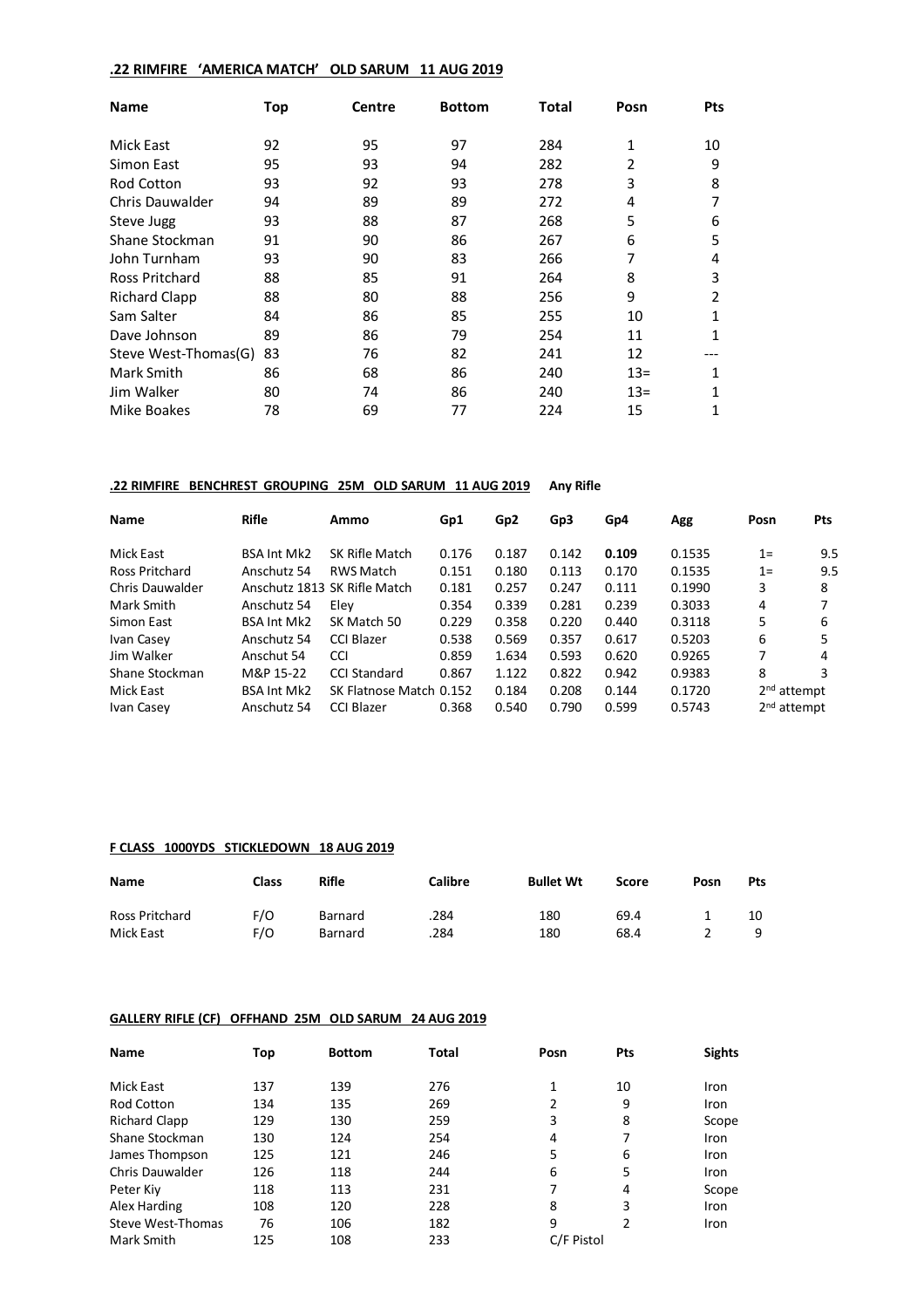## **.22 RIMFIRE 'AMERICA MATCH' OLD SARUM 11 AUG 2019**

| <b>Name</b>          | Top | Centre | <b>Bottom</b> | Total | Posn  | <b>Pts</b>     |
|----------------------|-----|--------|---------------|-------|-------|----------------|
| <b>Mick East</b>     | 92  | 95     | 97            | 284   | 1     | 10             |
| Simon East           | 95  | 93     | 94            | 282   | 2     | 9              |
| <b>Rod Cotton</b>    | 93  | 92     | 93            | 278   | 3     | 8              |
| Chris Dauwalder      | 94  | 89     | 89            | 272   | 4     | 7              |
| Steve Jugg           | 93  | 88     | 87            | 268   | 5     | 6              |
| Shane Stockman       | 91  | 90     | 86            | 267   | 6     | 5              |
| John Turnham         | 93  | 90     | 83            | 266   | 7     | 4              |
| Ross Pritchard       | 88  | 85     | 91            | 264   | 8     | 3              |
| <b>Richard Clapp</b> | 88  | 80     | 88            | 256   | 9     | $\overline{2}$ |
| Sam Salter           | 84  | 86     | 85            | 255   | 10    | 1              |
| Dave Johnson         | 89  | 86     | 79            | 254   | 11    | 1              |
| Steve West-Thomas(G) | 83  | 76     | 82            | 241   | 12    |                |
| Mark Smith           | 86  | 68     | 86            | 240   | $13=$ | 1              |
| Jim Walker           | 80  | 74     | 86            | 240   | $13=$ | 1              |
| Mike Boakes          | 78  | 69     | 77            | 224   | 15    | 1              |

#### **.22 RIMFIRE BENCHREST GROUPING 25M OLD SARUM 11 AUG 2019 Any Rifle**

| <b>Name</b>           | <b>Rifle</b>       | Ammo                         | Gp1   | Gp <sub>2</sub> | Gp3   | Gp4   | Agg    | Posn                    | <b>Pts</b> |
|-----------------------|--------------------|------------------------------|-------|-----------------|-------|-------|--------|-------------------------|------------|
| Mick East             | <b>BSA Int Mk2</b> | SK Rifle Match               | 0.176 | 0.187           | 0.142 | 0.109 | 0.1535 | $1=$                    | 9.5        |
| <b>Ross Pritchard</b> | Anschutz 54        | <b>RWS Match</b>             | 0.151 | 0.180           | 0.113 | 0.170 | 0.1535 | $1=$                    | 9.5        |
| Chris Dauwalder       |                    | Anschutz 1813 SK Rifle Match | 0.181 | 0.257           | 0.247 | 0.111 | 0.1990 | 3                       | 8          |
| Mark Smith            | Anschutz 54        | Elev                         | 0.354 | 0.339           | 0.281 | 0.239 | 0.3033 | 4                       |            |
| Simon East            | <b>BSA Int Mk2</b> | SK Match 50                  | 0.229 | 0.358           | 0.220 | 0.440 | 0.3118 | 5                       | 6          |
| Ivan Casey            | Anschutz 54        | CCI Blazer                   | 0.538 | 0.569           | 0.357 | 0.617 | 0.5203 | 6                       | 5          |
| Jim Walker            | Anschut 54         | <b>CCI</b>                   | 0.859 | 1.634           | 0.593 | 0.620 | 0.9265 |                         | 4          |
| Shane Stockman        | M&P 15-22          | <b>CCI Standard</b>          | 0.867 | 1.122           | 0.822 | 0.942 | 0.9383 | 8                       | 3          |
| Mick East             | <b>BSA Int Mk2</b> | SK Flatnose Match 0.152      |       | 0.184           | 0.208 | 0.144 | 0.1720 | $2nd$ attempt           |            |
| Ivan Casey            | Anschutz 54        | CCI Blazer                   | 0.368 | 0.540           | 0.790 | 0.599 | 0.5743 | 2 <sup>nd</sup> attempt |            |

#### **F CLASS 1000YDS STICKLEDOWN 18 AUG 2019**

| Name           | Class | Rifle   | Calibre | <b>Bullet Wt</b> | Score | Posn | Pts |
|----------------|-------|---------|---------|------------------|-------|------|-----|
| Ross Pritchard | F/O   | Barnard | .284    | 180              | 69.4  |      | 10  |
| Mick East      | F/O   | Barnard | .284    | 180              | 68.4  |      |     |

## **GALLERY RIFLE (CF) OFFHAND 25M OLD SARUM 24 AUG 2019**

| <b>Name</b>       | Top | <b>Bottom</b> | Total | Posn       | Pts | <b>Sights</b> |
|-------------------|-----|---------------|-------|------------|-----|---------------|
| Mick East         | 137 | 139           | 276   | 1          | 10  | Iron          |
| <b>Rod Cotton</b> | 134 | 135           | 269   | 2          | 9   | Iron          |
| Richard Clapp     | 129 | 130           | 259   | 3          | 8   | Scope         |
| Shane Stockman    | 130 | 124           | 254   | 4          | 7   | Iron          |
| James Thompson    | 125 | 121           | 246   | 5          | 6   | Iron          |
| Chris Dauwalder   | 126 | 118           | 244   | 6          | 5   | Iron          |
| Peter Kiy         | 118 | 113           | 231   | 7          | 4   | Scope         |
| Alex Harding      | 108 | 120           | 228   | 8          | 3   | Iron          |
| Steve West-Thomas | 76  | 106           | 182   | 9          | 2   | Iron          |
| Mark Smith        | 125 | 108           | 233   | C/F Pistol |     |               |